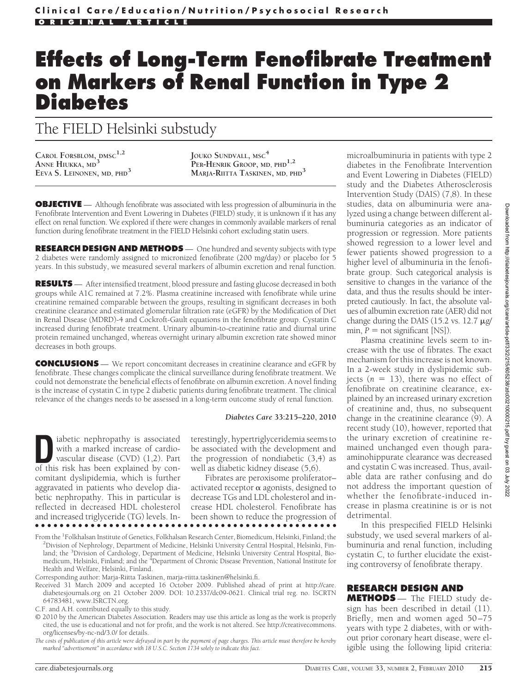# **Effects of Long-Term Fenofibrate Treatment on Markers of Renal Function in Type 2 Diabetes**

The FIELD Helsinki substudy

**CAROL FORSBLOM, DMSC1,2 ANNE HIUKKA, MD<sup>3</sup> EEVA S. LEINONEN, MD, PHD<sup>3</sup>**

**JOUKO SUNDVALL, MSC<sup>4</sup> PER-HENRIK GROOP, MD, PHD1,2 MARJA-RIITTA TASKINEN, MD, PHD<sup>3</sup>**

**OBJECTIVE** — Although fenofibrate was associated with less progression of albuminuria in the Fenofibrate Intervention and Event Lowering in Diabetes (FIELD) study, it is unknown if it has any effect on renal function. We explored if there were changes in commonly available markers of renal function during fenofibrate treatment in the FIELD Helsinki cohort excluding statin users.

**RESEARCH DESIGN AND METHODS** — One hundred and seventy subjects with type 2 diabetes were randomly assigned to micronized fenofibrate (200 mg/day) or placebo for 5 years. In this substudy, we measured several markers of albumin excretion and renal function.

**RESULTS** — After intensified treatment, blood pressure and fasting glucose decreased in both groups while A1C remained at 7.2%. Plasma creatinine increased with fenofibrate while urine creatinine remained comparable between the groups, resulting in significant decreases in both creatinine clearance and estimated glomerular filtration rate (eGFR) by the Modification of Diet in Renal Disease (MDRD)-4 and Cockroft-Gault equations in the fenofibrate group. Cystatin C increased during fenofibrate treatment. Urinary albumin-to-creatinine ratio and diurnal urine protein remained unchanged, whereas overnight urinary albumin excretion rate showed minor decreases in both groups.

**CONCLUSIONS** — We report concomitant decreases in creatinine clearance and eGFR by fenofibrate. These changes complicate the clinical surveillance during fenofibrate treatment. We could not demonstrate the beneficial effects of fenofibrate on albumin excretion. A novel finding is the increase of cystatin C in type 2 diabetic patients during fenofibrate treatment. The clinical relevance of the changes needs to be assessed in a long-term outcome study of renal function.

#### *Diabetes Care* **33:215–220, 2010**

**D**iabetic nephropathy is associated<br>with a marked increase of cardio-<br>vascular disease (CVD) (1,2). Part<br>of this risk has been explained by conwith a marked increase of cardiovascular disease (CVD) (1,2). Part of this risk has been explained by concomitant dyslipidemia, which is further aggravated in patients who develop diabetic nephropathy. This in particular is reflected in decreased HDL cholesterol and increased triglyceride (TG) levels. In-

terestingly, hypertriglyceridemia seems to be associated with the development and the progression of nondiabetic (3,4) as well as diabetic kidney disease (5,6).

Fibrates are peroxisome proliferator– activated receptor  $\alpha$  agonists, designed to decrease TGs and LDL cholesterol and increase HDL cholesterol. Fenofibrate has been shown to reduce the progression of ●●●●●●●●●●●●●●●●●●●●●●●●●●●●●●●●●●●●●●●●●●●●●●●●●

From the <sup>1</sup>Folkhalsan Institute of Genetics, Folkhalsan Research Center, Biomedicum, Helsinki, Finland; the <sup>2</sup>Division of Nephrology, Department of Medicine, Helsinki University Central Hespital, Helsinki, Fin <sup>2</sup>Division of Nephrology, Department of Medicine, Helsinki University Central Hospital, Helsinki, Finland; the <sup>3</sup>Division of Cardiology, Department of Medicine, Helsinki University Central Hospital, Biomedicum, Helsinki, Finland; and the <sup>4</sup>Department of Chronic Disease Prevention, National Institute for Health and Welfare, Helsinki, Finland.

Corresponding author: Marja-Riitta Taskinen, marja-riitta.taskinen@helsinki.fi.

- Received 31 March 2009 and accepted 16 October 2009. Published ahead of print at http://care. diabetesjournals.org on 21 October 2009. DOI: 10.2337/dc09-0621. Clinical trial reg. no. ISCRTN 64783481, www.ISRCTN.org.
- C.F. and A.H. contributed equally to this study.

© 2010 by the American Diabetes Association. Readers may use this article as long as the work is properly cited, the use is educational and not for profit, and the work is not altered. See http://creativecommons. org/licenses/by-nc-nd/3.0/ for details.

*The costs of publication of this article were defrayed in part by the payment of page charges. This article must therefore be hereby marked "advertisement" in accordance with 18 U.S.C. Section 1734 solely to indicate this fact.*

microalbuminuria in patients with type 2 diabetes in the Fenofibrate Intervention and Event Lowering in Diabetes (FIELD) study and the Diabetes Atherosclerosis Intervention Study (DAIS) (7,8). In these studies, data on albuminuria were analyzed using a change between different albuminuria categories as an indicator of progression or regression. More patients showed regression to a lower level and fewer patients showed progression to a higher level of albuminuria in the fenofibrate group. Such categorical analysis is sensitive to changes in the variance of the data, and thus the results should be interpreted cautiously. In fact, the absolute values of albumin excretion rate (AER) did not change during the DAIS  $(15.2 \text{ vs. } 12.7 \text{ µg})$ min,  $P =$  not significant [NS]).

Plasma creatinine levels seem to increase with the use of fibrates. The exact mechanism for this increase is not known. In a 2-week study in dyslipidemic subjects  $(n = 13)$ , there was no effect of fenofibrate on creatinine clearance, explained by an increased urinary excretion of creatinine and, thus, no subsequent change in the creatinine clearance (9). A recent study (10), however, reported that the urinary excretion of creatinine remained unchanged even though paraaminohippurate clearance was decreased and cystatin C was increased. Thus, available data are rather confusing and do not address the important question of whether the fenofibrate-induced increase in plasma creatinine is or is not detrimental.

In this prespecified FIELD Helsinki substudy, we used several markers of albuminuria and renal function, including cystatin C, to further elucidate the existing controversy of fenofibrate therapy.

#### **RESEARCH DESIGN AND**

**METHODS** — The FIELD study design has been described in detail (11). Briefly, men and women aged 50–75 years with type 2 diabetes, with or without prior coronary heart disease, were eligible using the following lipid criteria: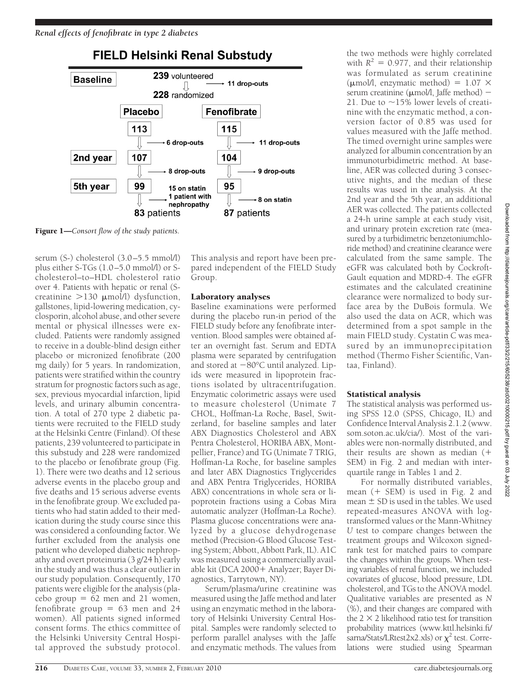*Renal effects of fenofibrate in type 2 diabetes*



Figure 1—*Consort flow of the study patients.*

serum (S-) cholesterol (3.0–5.5 mmol/l) plus either S-TGs (1.0–5.0 mmol/l) or Scholesterol–to–HDL cholesterol ratio over 4. Patients with hepatic or renal (Screatinine  $>$ 130  $\mu$ mol/l) dysfunction, gallstones, lipid-lowering medication, cyclosporin, alcohol abuse, and other severe mental or physical illnesses were excluded. Patients were randomly assigned to receive in a double-blind design either placebo or micronized fenofibrate (200 mg daily) for 5 years. In randomization, patients were stratified within the country stratum for prognostic factors such as age, sex, previous myocardial infarction, lipid levels, and urinary albumin concentration. A total of 270 type 2 diabetic patients were recruited to the FIELD study at the Helsinki Centre (Finland). Of these patients, 239 volunteered to participate in this substudy and 228 were randomized to the placebo or fenofibrate group (Fig. 1). There were two deaths and 12 serious adverse events in the placebo group and five deaths and 15 serious adverse events in the fenofibrate group. We excluded patients who had statin added to their medication during the study course since this was considered a confounding factor. We further excluded from the analysis one patient who developed diabetic nephropathy and overt proteinuria (3 g/24 h) early in the study and was thus a clear outlier in our study population. Consequently, 170 patients were eligible for the analysis (pla $cebo group = 62$  men and 21 women, fenofibrate group  $= 63$  men and 24 women). All patients signed informed consent forms. The ethics committee of the Helsinki University Central Hospital approved the substudy protocol.

This analysis and report have been prepared independent of the FIELD Study Group.

## Laboratory analyses

Baseline examinations were performed during the placebo run-in period of the FIELD study before any fenofibrate intervention. Blood samples were obtained after an overnight fast. Serum and EDTA plasma were separated by centrifugation and stored at  $-80^{\circ}$ C until analyzed. Lipids were measured in lipoprotein fractions isolated by ultracentrifugation. Enzymatic colorimetric assays were used to measure cholesterol (Unimate 7 CHOL, Hoffman-La Roche, Basel, Switzerland, for baseline samples and later ABX Diagnostics Cholesterol and ABX Pentra Cholesterol, HORIBA ABX, Montpellier, France) and TG (Unimate 7 TRIG, Hoffman-La Roche, for baseline samples and later ABX Diagnostics Triglycerides and ABX Pentra Triglycerides, HORIBA ABX) concentrations in whole sera or lipoprotein fractions using a Cobas Mira automatic analyzer (Hoffman-La Roche). Plasma glucose concentrations were analyzed by a glucose dehydrogenase method (Precision-G Blood Glucose Testing System; Abbott, Abbott Park, IL). A1C was measured using a commercially available kit (DCA 2000+ Analyzer; Bayer Diagnostics, Tarrytown, NY).

Serum/plasma/urine creatinine was measured using the Jaffe method and later using an enzymatic method in the laboratory of Helsinki University Central Hospital. Samples were randomly selected to perform parallel analyses with the Jaffe and enzymatic methods. The values from the two methods were highly correlated with  $R^2 = 0.977$ , and their relationship was formulated as serum creatinine ( $\mu$ mol/l, enzymatic method) = 1.07  $\times$ serum creatinine (µmol/l, Jaffe method) – 21. Due to  $\sim$ 15% lower levels of creatinine with the enzymatic method, a conversion factor of 0.85 was used for values measured with the Jaffe method. The timed overnight urine samples were analyzed for albumin concentration by an immunoturbidimetric method. At baseline, AER was collected during 3 consecutive nights, and the median of these results was used in the analysis. At the 2nd year and the 5th year, an additional AER was collected. The patients collected a 24-h urine sample at each study visit, and urinary protein excretion rate (measured by a turbidimetric benzetoniumchloride method) and creatinine clearance were calculated from the same sample. The eGFR was calculated both by Cockroft-Gault equation and MDRD-4. The eGFR estimates and the calculated creatinine clearance were normalized to body surface area by the DuBois formula. We also used the data on ACR, which was determined from a spot sample in the main FIELD study. Cystatin C was measured by an immunoprecipitation method (Thermo Fisher Scientific, Vantaa, Finland).

# Statistical analysis

The statistical analysis was performed using SPSS 12.0 (SPSS, Chicago, IL) and Confidence Interval Analysis 2.1.2 (www. som.soton.ac.uk/cia/). Most of the variables were non-normally distributed, and their results are shown as median ( SEM) in Fig. 2 and median with interquartile range in Tables 1 and 2.

For normally distributed variables, mean  $(+$  SEM) is used in Fig. 2 and mean  $\pm$  SD is used in the tables. We used repeated-measures ANOVA with logtransformed values or the Mann-Whitney *U* test to compare changes between the treatment groups and Wilcoxon signedrank test for matched pairs to compare the changes within the groups. When testing variables of renal function, we included covariates of glucose, blood pressure, LDL cholesterol, and TGs to the ANOVA model. Qualitative variables are presented as *N* (%), and their changes are compared with the  $2 \times 2$  likelihood ratio test for transition probability matrices (www.kttl.helsinki.fi/ sarna/Stats/LRtest2x2.xls) or  $\chi^2$  test. Correlations were studied using Spearman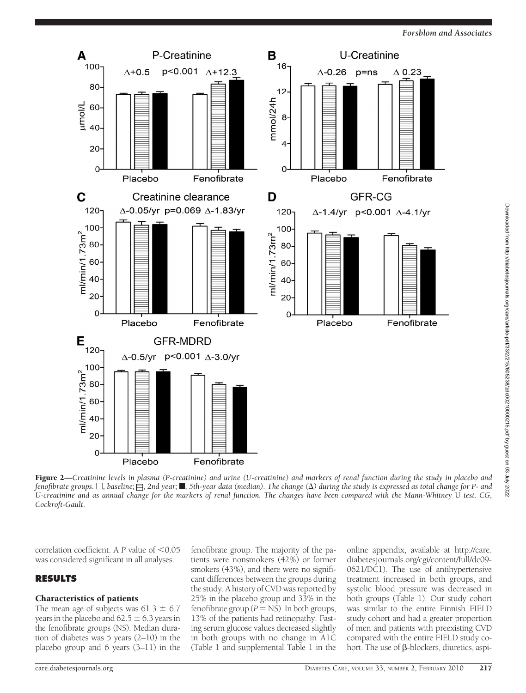

Figure 2—*Creatinine levels in plasma (P-creatinine) and urine (U-creatinine) and markers of renal function during the study in placebo and* fenofibrate groups. □, baseline; ☰, 2nd year; ■, 5th-year data (median). The change (Δ) during the study is expressed as total change for P- and *U-creatinine and as annual change for the markers of renal function. The changes have been compared with the Mann-Whitney* U *test. CG, Cockroft-Gault.*

correlation coefficient. A  $P$  value of  $\leq 0.05$ was considered significant in all analyses.

# **RESULTS**

#### Characteristics of patients

The mean age of subjects was  $61.3 \pm 6.7$ years in the placebo and  $62.5 \pm 6.3$  years in the fenofibrate groups (NS). Median duration of diabetes was 5 years (2–10) in the placebo group and 6 years (3–11) in the fenofibrate group. The majority of the patients were nonsmokers (42%) or former smokers (43%), and there were no significant differences between the groups during the study. A history of CVD was reported by 25% in the placebo group and 33% in the fenofibrate group ( $P = NS$ ). In both groups, 13% of the patients had retinopathy. Fasting serum glucose values decreased slightly in both groups with no change in A1C (Table 1 and supplemental Table 1 in the

online appendix, available at http://care. diabetesjournals.org/cgi/content/full/dc09- 0621/DC1). The use of antihypertensive treatment increased in both groups, and systolic blood pressure was decreased in both groups (Table 1). Our study cohort was similar to the entire Finnish FIELD study cohort and had a greater proportion of men and patients with preexisting CVD compared with the entire FIELD study cohort. The use of  $\beta$ -blockers, diuretics, aspi-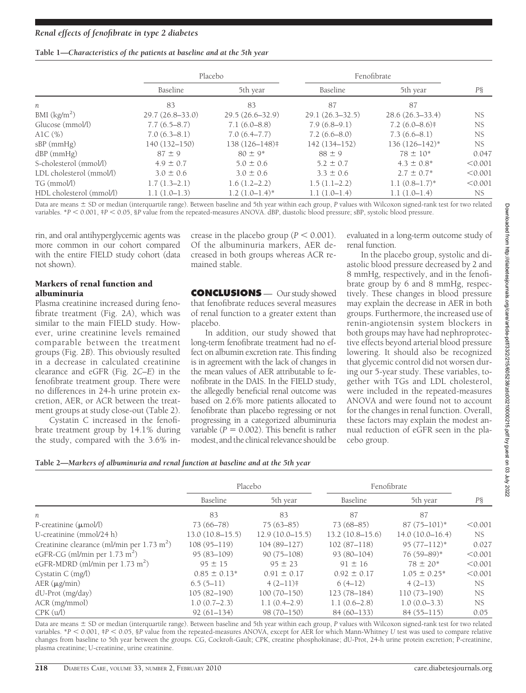#### **Table 1—***Characteristics of the patients at baseline and at the 5th year*

|                          |                   | Placebo           | Fenofibrate         |                    |         |
|--------------------------|-------------------|-------------------|---------------------|--------------------|---------|
|                          | Baseline          | 5th year          | Baseline            | 5th year           | P§      |
| n                        | 83                | 83                | 87                  | 87                 |         |
| BMI (kg/m <sup>2</sup> ) | $29.7(26.8-33.0)$ | $29.5(26.6-32.9)$ | $29.1(26.3 - 32.5)$ | $28.6(26.3-33.4)$  | NS.     |
| Glucose (mmol/l)         | $7.7(6.5-8.7)$    | $7.1(6.0 - 8.8)$  | $7.9(6.8-9.1)$      | $7.2(6.0-8.6)$     | NS.     |
| A1C(%)                   | $7.0(6.3-8.1)$    | $7.0(6.4 - 7.7)$  | $7.2(6.6-8.0)$      | $7.3(6.6-8.1)$     | NS.     |
| $sBP$ (mm $Hg$ )         | 140 (132-150)     | 138 (126-148)#    | $142(134 - 152)$    | $136(126 - 142)^*$ | NS.     |
| $dBP$ (mmHg)             | $87 \pm 9$        | $80 \pm 9*$       | $88 \pm 9$          | $78 \pm 10^*$      | 0.047   |
| S-cholesterol (mmol/l)   | $4.9 \pm 0.7$     | $5.0 \pm 0.6$     | $5.2 \pm 0.7$       | $4.3 \pm 0.8^*$    | < 0.001 |
| LDL cholesterol (mmol/l) | $3.0 \pm 0.6$     | $3.0 \pm 0.6$     | $3.3 \pm 0.6$       | $2.7 \pm 0.7^*$    | < 0.001 |
| $TG \, (mmol/l)$         | $1.7(1.3-2.1)$    | $1.6(1.2 - 2.2)$  | $1.5(1.1-2.2)$      | $1.1(0.8-1.7)^*$   | < 0.001 |
| HDL cholesterol (mmol/l) | $1.1(1.0-1.3)$    | $1.2(1.0-1.4)$ *  | $1.1(1.0-1.4)$      | $1.1(1.0-1.4)$     | NS.     |

Data are means  $\pm$  SD or median (interquartile range). Between baseline and 5th year within each group, P values with Wilcoxon signed-rank test for two related variables. \**P* < 0.001,  $\frac{p}{q}$  < 0.05,  $\frac{8p}{q}$  value from the repeated-measures ANOVA. dBP, diastolic blood pressure; sBP, systolic blood pressure.

rin, and oral antihyperglycemic agents was more common in our cohort compared with the entire FIELD study cohort (data not shown).

## Markers of renal function and albuminuria

Plasma creatinine increased during fenofibrate treatment (Fig. 2*A*), which was similar to the main FIELD study. However, urine creatinine levels remained comparable between the treatment groups (Fig. 2*B*). This obviously resulted in a decrease in calculated creatinine clearance and eGFR (Fig. 2*C*–*E*) in the fenofibrate treatment group. There were no differences in 24-h urine protein excretion, AER, or ACR between the treatment groups at study close-out (Table 2).

Cystatin C increased in the fenofibrate treatment group by 14.1% during the study, compared with the 3.6% increase in the placebo group ( $P < 0.001$ ). Of the albuminuria markers, AER decreased in both groups whereas ACR remained stable.

**CONCLUSIONS** — Our study showed that fenofibrate reduces several measures of renal function to a greater extent than placebo.

In addition, our study showed that long-term fenofibrate treatment had no effect on albumin excretion rate. This finding is in agreement with the lack of changes in the mean values of AER attributable to fenofibrate in the DAIS. In the FIELD study, the allegedly beneficial renal outcome was based on 2.6% more patients allocated to fenofibrate than placebo regressing or not progressing in a categorized albuminuria variable  $(P = 0.002)$ . This benefit is rather modest, and the clinical relevance should be evaluated in a long-term outcome study of renal function.

In the placebo group, systolic and diastolic blood pressure decreased by 2 and 8 mmHg, respectively, and in the fenofibrate group by 6 and 8 mmHg, respectively. These changes in blood pressure may explain the decrease in AER in both groups. Furthermore, the increased use of renin-angiotensin system blockers in both groups may have had nephroprotective effects beyond arterial blood pressure lowering. It should also be recognized that glycemic control did not worsen during our 5-year study. These variables, together with TGs and LDL cholesterol, were included in the repeated-measures ANOVA and were found not to account for the changes in renal function. Overall, these factors may explain the modest annual reduction of eGFR seen in the placebo group.

| Table 2-Markers of albuminuria and renal function at baseline and at the 5th year |  |  |  |  |  |
|-----------------------------------------------------------------------------------|--|--|--|--|--|
|                                                                                   |  |  |  |  |  |

|                                                       |                   | Placebo           | Fenofibrate       |                   |           |  |
|-------------------------------------------------------|-------------------|-------------------|-------------------|-------------------|-----------|--|
|                                                       | Baseline          | 5th year          | Baseline          | 5th year          | P§        |  |
| n                                                     | 83                | 83                | 87                | 87                |           |  |
| P-creatinine $(\mu \text{mol/l})$                     | $73(66 - 78)$     | $75(63 - 85)$     | $73(68 - 85)$     | $87(75-101)*$     | < 0.001   |  |
| U-creatinine (mmol/24 h)                              | $13.0(10.8-15.5)$ | $12.9(10.0-15.5)$ | $13.2(10.8-15.6)$ | $14.0(10.0-16.4)$ | NS.       |  |
| Creatinine clearance (ml/min per $1.73 \text{ m}^2$ ) | $108(95 - 119)$   | $104(89-127)$     | $102(87-118)$     | $95(77-112)*$     | 0.027     |  |
| eGFR-CG (ml/min per $1.73 \text{ m}^2$ )              | $95(83 - 109)$    | $90(75 - 108)$    | $93(80-104)$      | 76 (59-89)*       | < 0.001   |  |
| eGFR-MDRD (ml/min per $1.73$ m <sup>2</sup> )         | $95 \pm 15$       | $95 \pm 23$       | $91 \pm 16$       | $78 \pm 20*$      | < 0.001   |  |
| Cystatin $C$ (mg/l)                                   | $0.85 \pm 0.13*$  | $0.91 \pm 0.17$   | $0.92 \pm 0.17$   | $1.05 \pm 0.25$ * | < 0.001   |  |
| $AER (\mu g/min)$                                     | $6.5(5-11)$       | $4(2-11)*$        | $6(4-12)$         | $4(2-13)$         | <b>NS</b> |  |
| dU-Prot (mg/day)                                      | $105(82 - 190)$   | $100(70 - 150)$   | $123(78-184)$     | $110(73 - 190)$   | NS.       |  |
| ACR (mg/mmol)                                         | $1.0(0.7-2.3)$    | $1.1(0.4-2.9)$    | $1.1(0.6-2.8)$    | $1.0(0.0-3.3)$    | NS.       |  |
| $CPK$ $(u/l)$                                         | $92(61 - 134)$    | 98 (70-150)       | $84(60 - 133)$    | $84(55 - 115)$    | 0.05      |  |

Data are means  $\pm$  SD or median (interquartile range). Between baseline and 5th year within each group, *P* values with Wilcoxon signed-rank test for two related variables. \**P* < 0.001,  $\sharp P$  < 0.05, §*P* value from the repeated-measures ANOVA, except for AER for which Mann-Whitney *U* test was used to compare relative changes from baseline to 5th year between the groups. CG, Cockroft-Gault; CPK, creatine phosphokinase; dU-Prot, 24-h urine protein excretion; P-creatinine, plasma creatinine; U-creatinine, urine creatinine.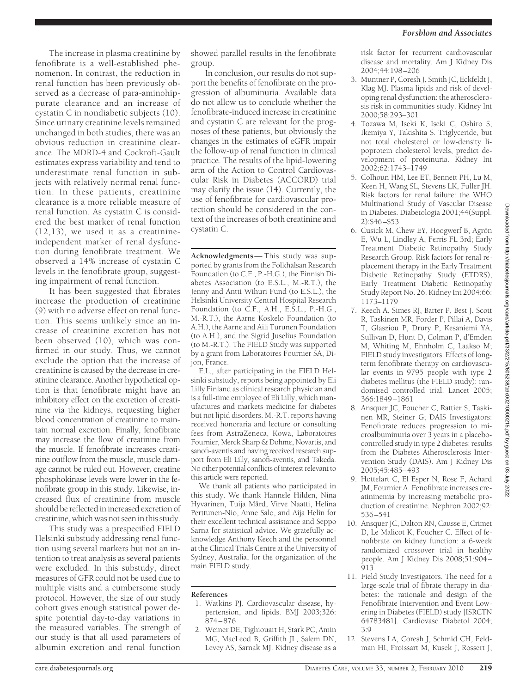The increase in plasma creatinine by fenofibrate is a well-established phenomenon. In contrast, the reduction in renal function has been previously observed as a decrease of para-aminohippurate clearance and an increase of cystatin C in nondiabetic subjects (10). Since urinary creatinine levels remained unchanged in both studies, there was an obvious reduction in creatinine clearance. The MDRD-4 and Cockroft-Gault estimates express variability and tend to underestimate renal function in subjects with relatively normal renal function. In these patients, creatinine clearance is a more reliable measure of renal function. As cystatin C is considered the best marker of renal function (12,13), we used it as a creatinineindependent marker of renal dysfunction during fenofibrate treatment. We observed a 14% increase of cystatin C levels in the fenofibrate group, suggesting impairment of renal function.

It has been suggested that fibrates increase the production of creatinine (9) with no adverse effect on renal function. This seems unlikely since an increase of creatinine excretion has not been observed (10), which was confirmed in our study. Thus, we cannot exclude the option that the increase of creatinine is caused by the decrease in creatinine clearance. Another hypothetical option is that fenofibrate might have an inhibitory effect on the excretion of creatinine via the kidneys, requesting higher blood concentration of creatinine to maintain normal excretion. Finally, fenofibrate may increase the flow of creatinine from the muscle. If fenofibrate increases creatinine outflow from the muscle, muscle damage cannot be ruled out. However, creatine phosphokinase levels were lower in the fenofibrate group in this study. Likewise, increased flux of creatinine from muscle should be reflected in increased excretion of creatinine, which was not seen in this study.

This study was a prespecified FIELD Helsinki substudy addressing renal function using several markers but not an intention to treat analysis as several patients were excluded. In this substudy, direct measures of GFR could not be used due to multiple visits and a cumbersome study protocol. However, the size of our study cohort gives enough statistical power despite potential day-to-day variations in the measured variables. The strength of our study is that all used parameters of albumin excretion and renal function

showed parallel results in the fenofibrate group.

In conclusion, our results do not support the benefits of fenofibrate on the progression of albuminuria. Available data do not allow us to conclude whether the fenofibrate-induced increase in creatinine and cystatin C are relevant for the prognoses of these patients, but obviously the changes in the estimates of eGFR impair the follow-up of renal function in clinical practice. The results of the lipid-lowering arm of the Action to Control Cardiovascular Risk in Diabetes (ACCORD) trial may clarify the issue (14). Currently, the use of fenofibrate for cardiovascular protection should be considered in the context of the increases of both creatinine and cystatin C.

**Acknowledgments**— This study was supported by grants from the Folkhälsan Research Foundation (to C.F., P.-H.G.), the Finnish Diabetes Association (to E.S.L., M.-R.T.), the Jenny and Antti Wihuri Fund (to E.S.L.), the Helsinki University Central Hospital Research Foundation (to C.F., A.H., E.S.L., P.-H.G., M.-R.T.), the Aarne Koskelo Foundation (to A.H.), the Aarne and Aili Turunen Foundation (to A.H.), and the Sigrid Juselius Foundation (to M.-R.T.). The FIELD Study was supported by a grant from Laboratoires Fournier SA, Dijon, France.

E.L., after participating in the FIELD Helsinki substudy, reports being appointed by Eli Lilly Finland as clinical research physician and is a full-time employee of Eli Lilly, which manufactures and markets medicine for diabetes but not lipid disorders. M.-R.T. reports having received honoraria and lecture or consulting fees from AstraZeneca, Kowa, Laboratoires Fournier, Merck Sharp & Dohme, Novartis, and sanofi-aventis and having received research support from Eli Lilly, sanofi-aventis, and Takeda. No other potential conflicts of interest relevant to this article were reported.

We thank all patients who participated in this study. We thank Hannele Hilden, Nina Hyvärinen, Tuija Mård, Virve Naatti, Helinä Perttunen-Nio, Anne Salo, and Aija Helin for their excellent technical assistance and Seppo Sarna for statistical advice. We gratefully acknowledge Anthony Keech and the personnel at the Clinical Trials Centre at the University of Sydney, Australia, for the organization of the main FIELD study.

#### **References**

- 1. Watkins PJ. Cardiovascular disease, hypertension, and lipids. BMJ 2003;326: 874–876
- 2. Weiner DE, Tighiouart H, Stark PC, Amin MG, MacLeod B, Griffith JL, Salem DN, Levey AS, Sarnak MJ. Kidney disease as a

risk factor for recurrent cardiovascular disease and mortality. Am J Kidney Dis 2004;44:198–206

- 3. Muntner P, Coresh J, Smith JC, Eckfeldt J, Klag MJ. Plasma lipids and risk of developing renal dysfunction: the atherosclerosis risk in communities study. Kidney Int 2000;58:293–301
- 4. Tozawa M, Iseki K, Iseki C, Oshiro S, Ikemiya Y, Takishita S. Triglyceride, but not total cholesterol or low-density lipoprotein cholesterol levels, predict development of proteinuria. Kidney Int 2002;62:1743–1749
- 5. Colhoun HM, Lee ET, Bennett PH, Lu M, Keen H, Wang SL, Stevens LK, Fuller JH. Risk factors for renal failure: the WHO Multinational Study of Vascular Disease in Diabetes. Diabetologia 2001;44(Suppl. 2):S46–S53
- 6. Cusick M, Chew EY, Hoogwerf B, Agrón E, Wu L, Lindley A, Ferris FL 3rd; Early Treatment Diabetic Retinopathy Study Research Group. Risk factors for renal replacement therapy in the Early Treatment Diabetic Retinopathy Study (ETDRS), Early Treatment Diabetic Retinopathy Study Report No. 26. Kidney Int 2004;66: 1173–1179
- 7. Keech A, Simes RJ, Barter P, Best J, Scott R, Taskinen MR, Forder P, Pillai A, Davis T, Glasziou P, Drury P, Kesäniemi YA, Sullivan D, Hunt D, Colman P, d'Emden M, Whiting M, Ehnholm C, Laakso M; FIELD study investigators. Effects of longterm fenofibrate therapy on cardiovascular events in 9795 people with type 2 diabetes mellitus (the FIELD study): randomised controlled trial. Lancet 2005; 366:1849–1861
- 8. Ansquer JC, Foucher C, Rattier S, Taskinen MR, Steiner G; DAIS Investigators: Fenofibrate reduces progression to microalbuminuria over 3 years in a placebocontrolled study in type 2 diabetes: results from the Diabetes Atherosclerosis Intervention Study (DAIS). Am J Kidney Dis 2005;45:485–493
- 9. Hottelart C, El Esper N, Rose F, Achard JM, Fournier A. Fenofibrate increases creatininemia by increasing metabolic production of creatinine. Nephron 2002;92: 536–541
- 10. Ansquer JC, Dalton RN, Causse E, Crimet D, Le Malicot K, Foucher C. Effect of fenofibrate on kidney function: a 6-week randomized crossover trial in healthy people. Am J Kidney Dis 2008;51:904– 913
- 11. Field Study Investigators. The need for a large-scale trial of fibrate therapy in diabetes: the rationale and design of the Fenofibrate Intervention and Event Lowering in Diabetes (FIELD) study [ISRCTN 64783481]. Cardiovasc Diabetol 2004;  $3.0$
- 12. Stevens LA, Coresh J, Schmid CH, Feldman HI, Froissart M, Kusek J, Rossert J,